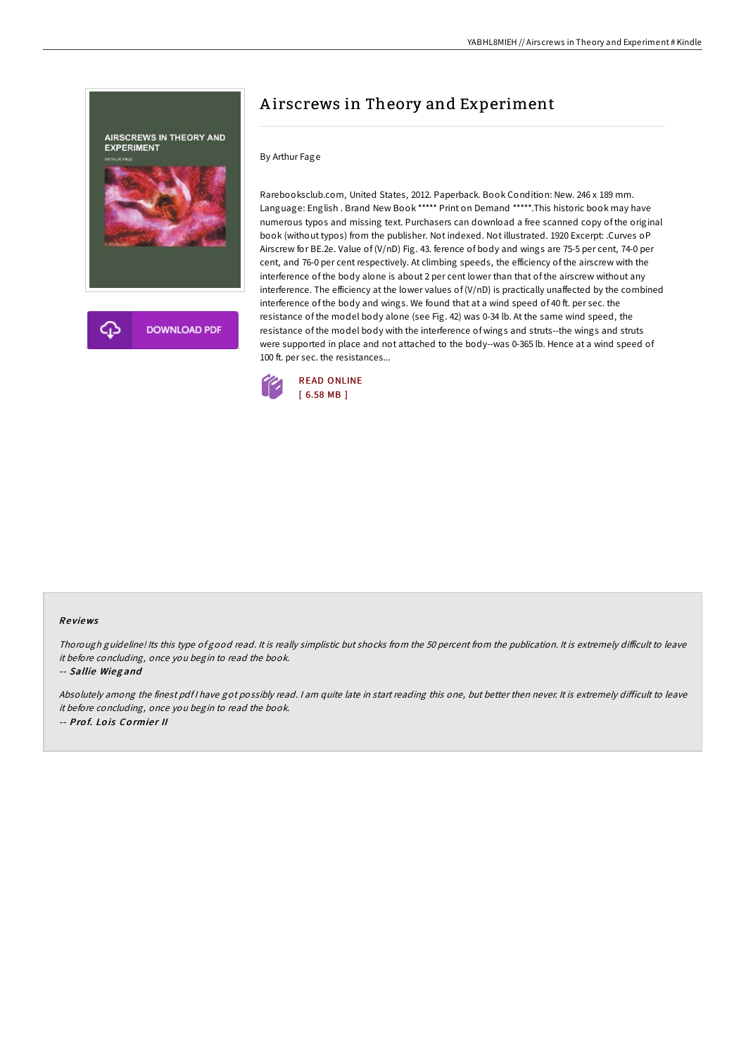

# A irscrews in Theory and Experiment

#### By Arthur Fage

Rarebooksclub.com, United States, 2012. Paperback. Book Condition: New. 246 x 189 mm. Language: English . Brand New Book \*\*\*\*\* Print on Demand \*\*\*\*\*.This historic book may have numerous typos and missing text. Purchasers can download a free scanned copy of the original book (without typos) from the publisher. Not indexed. Not illustrated. 1920 Excerpt: .Curves oP Airscrew for BE.2e. Value of (V/nD) Fig. 43. ference of body and wings are 75-5 per cent, 74-0 per cent, and 76-0 per cent respectively. At climbing speeds, the efficiency of the airscrew with the interference of the body alone is about 2 per cent lower than that of the airscrew without any interference. The efficiency at the lower values of (V/nD) is practically unaffected by the combined interference of the body and wings. We found that at a wind speed of 40 ft. per sec. the resistance of the model body alone (see Fig. 42) was 0-34 lb. At the same wind speed, the resistance of the model body with the interference of wings and struts--the wings and struts were supported in place and not attached to the body--was 0-365 lb. Hence at a wind speed of 100 ft. per sec. the resistances...



#### Re views

Thorough guideline! Its this type of good read. It is really simplistic but shocks from the 50 percent from the publication. It is extremely difficult to leave it before concluding, once you begin to read the book.

-- Sallie Wieg and

Absolutely among the finest pdf I have got possibly read. I am quite late in start reading this one, but better then never. It is extremely difficult to leave it before concluding, once you begin to read the book. -- Prof. Lois Cormier II